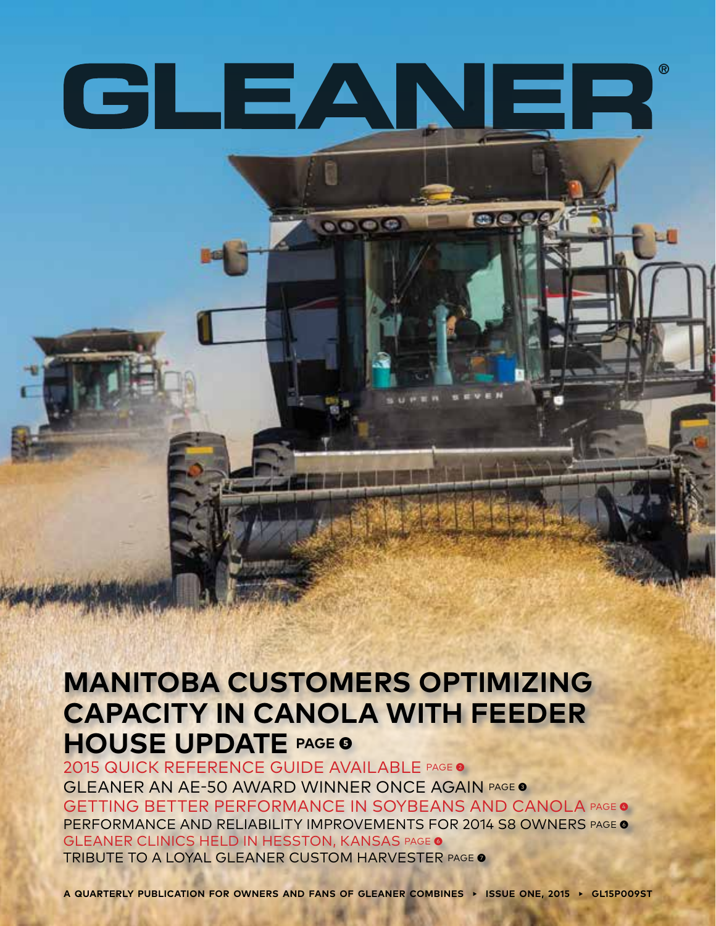# CLEANER

 $\mathbf{O}(\mathbf{O}|\mathbf{C})$ 

#### **MANITOBA CUSTOMERS OPTIMIZING CAPACITY IN CANOLA WITH FEEDER HOUSE UPDATE PAGE ❺**

2015 QUICK REFERENCE GUIDE AVAILABLE PAGE ❷ GLEANER AN AE-50 AWARD WINNER ONCE AGAIN PAGE ❸ GETTING BETTER PERFORMANCE IN SOYBEANS AND CANOLA PAGE <sup>o</sup> PERFORMANCE AND RELIABILITY IMPROVEMENTS FOR 2014 S8 OWNERS PAGE <sup>o</sup> GLEANER CLINICS HELD IN HESSTON, KANSAS PAGE <sup>o</sup> TRIBUTE TO A LOYAL GLEANER CUSTOM HARVESTER PAGE ❼

**A QUARTERLY PUBLICATION FOR OWNERS AND FANS OF GLEANER COMBINES ▸ ISSUE ONE, 2015 ▸ GL15P009ST**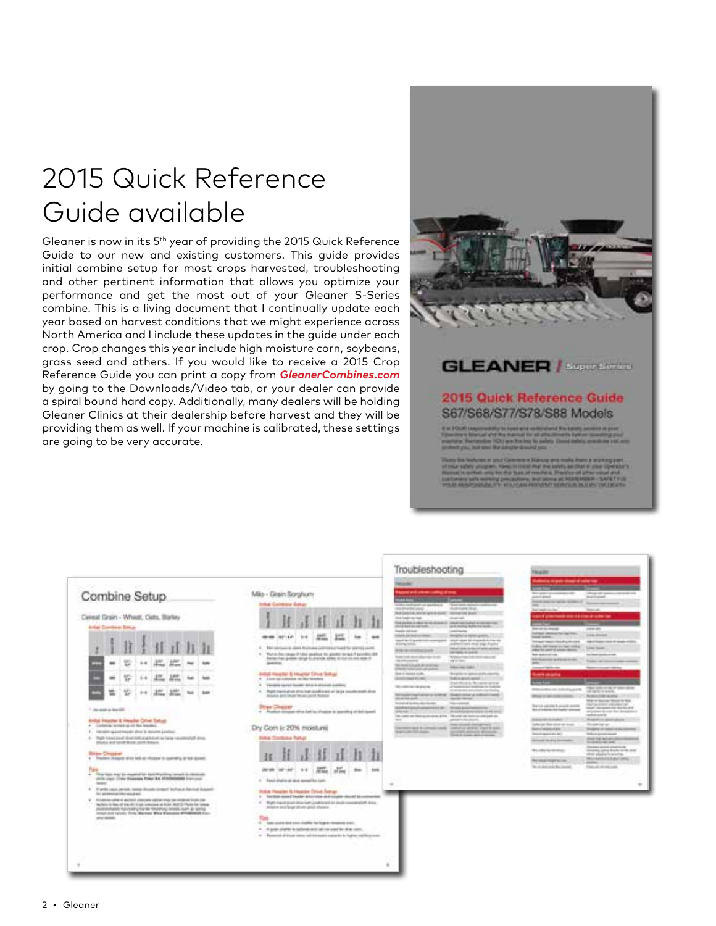## 2015 Quick Reference Guide available

Gleaner is now in its 5th year of providing the 2015 Quick Reference Guide to our new and existing customers. This guide provides initial combine setup for most crops harvested, troubleshooting and other pertinent information that allows you optimize your performance and get the most out of your Gleaner S-Series combine. This is a living document that I continually update each year based on harvest conditions that we might experience across North America and I include these updates in the guide under each crop. Crop changes this year include high moisture corn, soybeans, grass seed and others. If you would like to receive a 2015 Crop Reference Guide you can print a copy from *GleanerCombines.com* by going to the Downloads/Video tab, or your dealer can provide a spiral bound hard copy. Additionally, many dealers will be holding Gleaner Clinics at their dealership before harvest and they will be providing them as well. If your machine is calibrated, these settings are going to be very accurate.



#### **GLEANER** / *State Links*

#### 2015 Quick Reference Guide S67/S68/S77/S78/S88 Models

| Society - Finance - Easter<br>Combine Setup<br>Cental Grain - Wheat, Oats, Barley                                                                                                                                                                                                                                                                                                                                                                                                                                                                                                                                                                                                                                                                                                                                                                                                                                                                                                                                                                                                                        | Milo - Grain Sorghum<br>Initial Combine Satur                                                                                                                                                                                                                                                                                                                                                                                                                                                                                                                                                                                                                                                                                                                                                                                                                                                                                                                                                                                                                                                                                                                                                                                                                                                                                                                                                    | Troubleshooting<br><b>Month</b><br>pad kili umum calibçi d'orq<br>AT&A FooTrain P. LA JAPONA D<br><b>Scale and commercial</b><br>michards/wind-<br><b><i>Shedda Houston Citizen</i></b><br>that positive new in large di sport. Include the dealer<br><b>Ford Teach Literature</b><br><b>Sculpture</b><br><b>Engineering in charge during streams</b><br><b><i>DIA ATANG A PAS AFRAIT BATTLES</i></b><br>and some with his book.<br>paid and silver with                                                                                                                                                                                                                                                                                                                                                                                                                                                                                                                                                                                                                                                                                                                                                                                                                                                                                                                                                                                                                                                                         | <b>TOLACITY</b><br>about a responsibilities of some way<br>The company of constraints and<br>Things all speech interests and<br>point and<br><b>WANTED HOMES</b><br><b>Animal contribution between the con-</b><br>Service and control<br><b>STATE</b><br><b>Business</b><br><b>Business Ave. Dec.</b><br>sale of ginancials state out into all subs-fac-<br>--<br>-                                                                                                                                                                                                                                                                                                                                                                                                                                                                                                                                                                                                                                                                                                                                                                                                                                                                                                                                                                                                                                                          |
|----------------------------------------------------------------------------------------------------------------------------------------------------------------------------------------------------------------------------------------------------------------------------------------------------------------------------------------------------------------------------------------------------------------------------------------------------------------------------------------------------------------------------------------------------------------------------------------------------------------------------------------------------------------------------------------------------------------------------------------------------------------------------------------------------------------------------------------------------------------------------------------------------------------------------------------------------------------------------------------------------------------------------------------------------------------------------------------------------------|--------------------------------------------------------------------------------------------------------------------------------------------------------------------------------------------------------------------------------------------------------------------------------------------------------------------------------------------------------------------------------------------------------------------------------------------------------------------------------------------------------------------------------------------------------------------------------------------------------------------------------------------------------------------------------------------------------------------------------------------------------------------------------------------------------------------------------------------------------------------------------------------------------------------------------------------------------------------------------------------------------------------------------------------------------------------------------------------------------------------------------------------------------------------------------------------------------------------------------------------------------------------------------------------------------------------------------------------------------------------------------------------------|----------------------------------------------------------------------------------------------------------------------------------------------------------------------------------------------------------------------------------------------------------------------------------------------------------------------------------------------------------------------------------------------------------------------------------------------------------------------------------------------------------------------------------------------------------------------------------------------------------------------------------------------------------------------------------------------------------------------------------------------------------------------------------------------------------------------------------------------------------------------------------------------------------------------------------------------------------------------------------------------------------------------------------------------------------------------------------------------------------------------------------------------------------------------------------------------------------------------------------------------------------------------------------------------------------------------------------------------------------------------------------------------------------------------------------------------------------------------------------------------------------------------------------|-------------------------------------------------------------------------------------------------------------------------------------------------------------------------------------------------------------------------------------------------------------------------------------------------------------------------------------------------------------------------------------------------------------------------------------------------------------------------------------------------------------------------------------------------------------------------------------------------------------------------------------------------------------------------------------------------------------------------------------------------------------------------------------------------------------------------------------------------------------------------------------------------------------------------------------------------------------------------------------------------------------------------------------------------------------------------------------------------------------------------------------------------------------------------------------------------------------------------------------------------------------------------------------------------------------------------------------------------------------------------------------------------------------------------------|
| Infal Continue Satur<br><b>Luke</b><br>œ<br>tati<br>m<br><b>Sold</b><br>÷<br><b>Hilay Blad</b><br>1. Do stol in book?<br>Initial Privates & Henchel Cirius Satura<br>. Contemporaries in or the Annae c.<br>International expect forced to these in infection particular.<br>4. High fided paid directed engles will be large receiving at direc-<br>Dieded and layed \$1000 mich drawer.<br><b>Bridge Christman</b><br>1 Tharlest chapter time lets us mission in committee to board.<br><b>Tale</b><br>Three basis may be imported for April Phartima raised to interminies<br>JAIN LINE COAL DIANAIA POLA RA ITENNIERAN FUN LINE<br><b>January</b><br>4 Startin capacieristic proportionals compt facilitate fundate depart-<br>for additional information of<br>At helping which is applied attacked calling was the reciprosity on the<br>"Molicin is dan off the aft time concess at fruit. Marty Paces for press."<br>policitation of the adaptation state for the forest change places.<br>print that salesty Frida Married White Statement WPHREEDED Exci-<br>plus depart.<br><b>Commercial</b> | 15<br><b>HEAR AFILE</b><br><b>SHE</b><br>m.<br><b>BALL</b><br>Bar cancaveria plane impresse politiciator lead for standal point.<br>Municipal conquest field or position for goodist to hand if be entitled diffi-<br>Section law points strip in payade after to hands on stand-<br><b>GANGINE</b><br><b>Indial Health! &amp; Hearter Line Sekar</b><br>. Link at ninege as he houses<br>Version recent based and a stream context.<br>$\blacksquare$<br>Representative about \$70.6 keeps product and add state considerability about<br>$\frac{1}{2} \left( \frac{1}{2} \right) \left( \frac{1}{2} \right)$<br>Mindale Arts (struct Street (and Midway<br><b>Christian College Avenue</b><br>11 Postat chicago tilva bel su chape à questra ar loi quest<br>Dry Corn is 20% moisture)<br><b>Silkal Continue Tarket</b><br><b>ATL</b><br>$\frac{1}{2}$<br>20109 021-041 0-2<br>$-1000$<br>$rac{1}{2}$<br>A Analysis and study and competition can<br>Initial Header & Hazzler Ethios Senan<br>1 Territor specificade deletate and couple should be concertain<br>$+$ Right-hand shall ship last coalizated in stati-maximum of A in a<br>driver in and for all other place disease.<br>Tigti<br>4 Apr contribution contribution to provide a con-<br>4. If your chieffer to national violence is need for show your.<br>. Removed of trees more set to make a selected to human continue only. | <b>South division</b><br><b>CONTRACTOR</b><br><b><i>TOOL DE GAS INTERNA</i></b><br>Straighter in repress guards.<br>more case in channel is for the<br>standings in approximate community<br>availabilitates alles sales d'après<br>drawing stakes.<br><b><i>Interior banks to have all services</i></b><br><b>START OF ASSESSING COURSE</b><br>convenient excepts at a<br>There chair short-sides night do sta-<br>Arizon reporter dotto discussi<br><b>GREENWOOD</b><br><b>WWW.</b><br>This weren it recard ally programs.<br><b>DEALERS</b><br>prevent rend rate collection.<br><b>Rook of Associated product</b><br>Recyclate an options stored consenta-<br><b>SHOPPING</b> PERMIT<br>Tokin port and L.Y. L.Y.<br>Small Alcoholy, New glands adviseds<br>The content day of a procedure<br>all'isperio in l'addition la fossilie<br>projected a radio hole rearrivable.<br><b>Seattle and a million cards</b><br>this holiday is that I server in this bring."<br>per at this appli-<br><b>Jamie Henge</b><br>Inspected Audio Alberta and<br><b>TELESTIN</b><br><b>Michel Stabilization for the</b><br><b>Real Additionning</b><br>WARNER TO CHAIR STATE<br>All such the server street to \$5. and<br>The construct this department and a 10-year and the transit and and one<br>added to the door to<br><b>SECURE</b><br>the street is a carrier<br>International According of Contact of Anti-Edition<br>program arranged attending<br><b>Supra and College Associate</b><br>They is more again a second<br>$\frac{1}{2}$ | <b>Report Following</b><br>case and<br>harmal classrooms racers<br>Limite Advised<br>look inform<br>Advisible contracts of security conten-<br>Intrast main clinical is 40 min.<br>bridges and managers of the foreign<br>Long House,<br>sales for cash it is some calling<br><b>Ride-Anderson Inc.</b><br><b>Antiques specialists</b><br>air Ganner and the trees.<br>Therefore the telephone and a<br>arts charms<br>Adapt carborat last of concentrate<br><b>Brokers Committee Committee Committee</b><br><b>AFTER ET EXERC</b><br>Minister for reach students construc-<br><b>Autovine sonal</b><br>their to time the time a to less<br><b>INSURAL ASSESS LEA LEA COLORADO</b><br><b>Reprint colorado &amp; describe entrante</b><br><b>INJP, Alcoholy Advise No. 212</b><br>No o where the bally senses<br>provided to your first designation<br>readed applies<br><b>WARRANTEE FROM C.T.</b><br><b>Register or power-place</b><br>behavior data street as a call.<br>Thought Lab ap-<br><b>BarballyElenderACT</b><br>Mondayer of Symphonical<br><b>Broad Asia Facility</b><br>Brikin arount-auch<br><b>WHEN THE DEPARTMENT</b><br>primary to sent favorable<br><b>KIDSUMAK</b><br>Successive development and<br>No cable has interesting<br>Arrange and Rich In To and<br>salicals colonized to be connecting.<br>Workelby Education<br>ht lasti laphica<br>announce<br>be a ported by most<br>These with all rates and |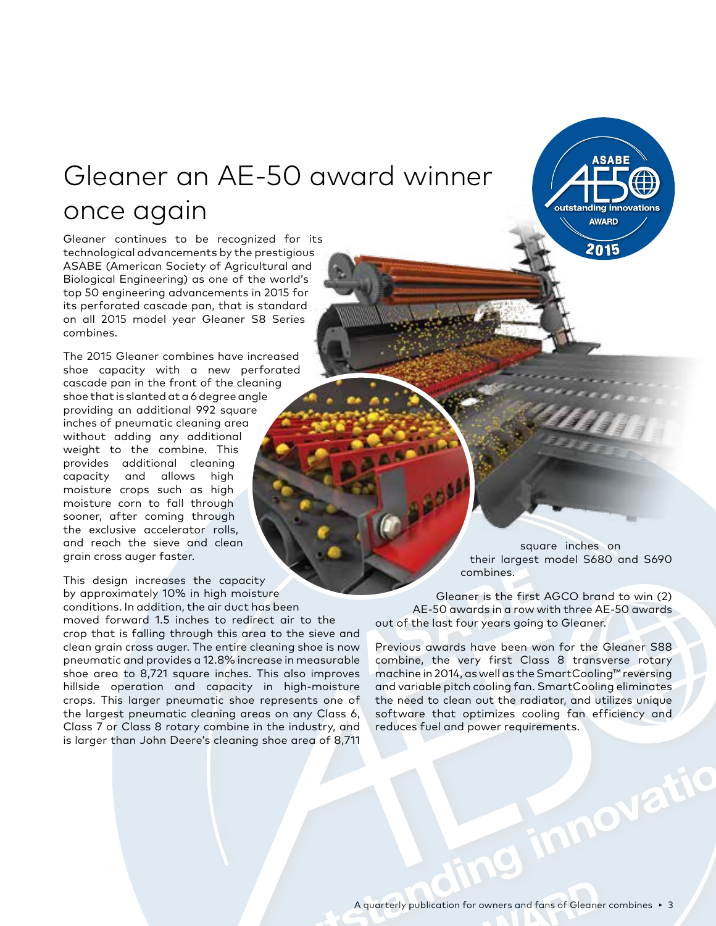#### Gleaner an AE-50 award winner once again

Gleaner continues to be recognized for its technological advancements by the prestigious ASABE (American Society of Agricultural and Biological Engineering) as one of the world's top 50 engineering advancements in 2015 for its perforated cascade pan, that is standard on all 2015 model year Gleaner S8 Series combines.

The 2015 Gleaner combines have increased shoe capacity with a new perforated cascade pan in the front of the cleaning shoe that is slanted at a 6 degree angle providing an additional 992 square inches of pneumatic cleaning area without adding any additional weight to the combine. This provides additional cleaning capacity and allows high moisture crops such as high moisture corn to fall through sooner, after coming through the exclusive accelerator rolls, and reach the sieve and clean grain cross auger faster.

This design increases the capacity by approximately 10% in high moisture conditions. In addition, the air duct has been moved forward 1.5 inches to redirect air to the crop that is falling through this area to the sieve and clean grain cross auger. The entire cleaning shoe is now pneumatic and provides a 12.8% increase in measurable shoe area to 8,721 square inches. This also improves hillside operation and capacity in high-moisture crops. This larger pneumatic shoe represents one of the largest pneumatic cleaning areas on any Class 6, Class 7 or Class 8 rotary combine in the industry, and is larger than John Deere's cleaning shoe area of 8,711

square inches on their largest model S680 and S690 combines.

g innovatio

**ASABE** 

outstanding innovations **AWARD** 

2015

Gleaner is the first AGCO brand to win (2) AE-50 awards in a row with three AE-50 awards out of the last four years going to Gleaner.

Previous awards have been won for the Gleaner S88 combine, the very first Class 8 transverse rotary machine in 2014, as well as the SmartCooling™ reversing and variable pitch cooling fan. SmartCooling eliminates the need to clean out the radiator, and utilizes unique software that optimizes cooling fan efficiency and reduces fuel and power requirements.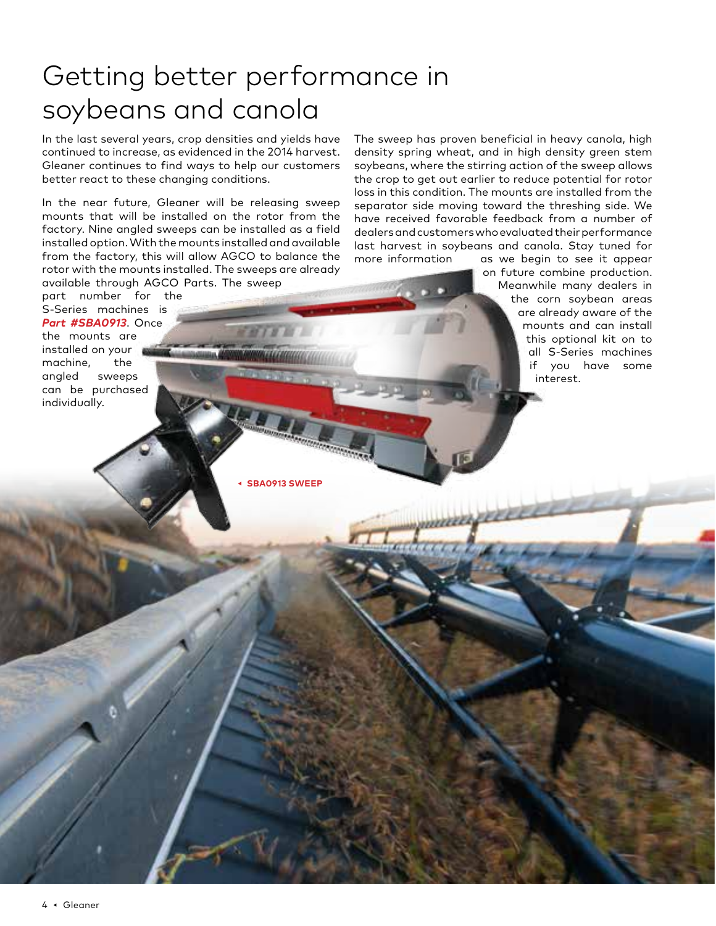## Getting better performance in soybeans and canola

In the last several years, crop densities and yields have continued to increase, as evidenced in the 2014 harvest. Gleaner continues to find ways to help our customers better react to these changing conditions.

In the near future, Gleaner will be releasing sweep mounts that will be installed on the rotor from the factory. Nine angled sweeps can be installed as a field installed option. With the mounts installed and available from the factory, this will allow AGCO to balance the rotor with the mounts installed. The sweeps are already available through AGCO Parts. The sweep

part number for the S-Series machines is *Part #SBA0913*. Once

the mounts are installed on your machine, the angled sweeps can be purchased individually.

The sweep has proven beneficial in heavy canola, high density spring wheat, and in high density green stem soybeans, where the stirring action of the sweep allows the crop to get out earlier to reduce potential for rotor loss in this condition. The mounts are installed from the separator side moving toward the threshing side. We have received favorable feedback from a number of dealers and customers who evaluated their performance last harvest in soybeans and canola. Stay tuned for more information as we begin to see it appear

> on future combine production. Meanwhile many dealers in the corn soybean areas are already aware of the mounts and can install this optional kit on to all S-Series machines if you have some interest.

**◂ SBA0913 SWEEP**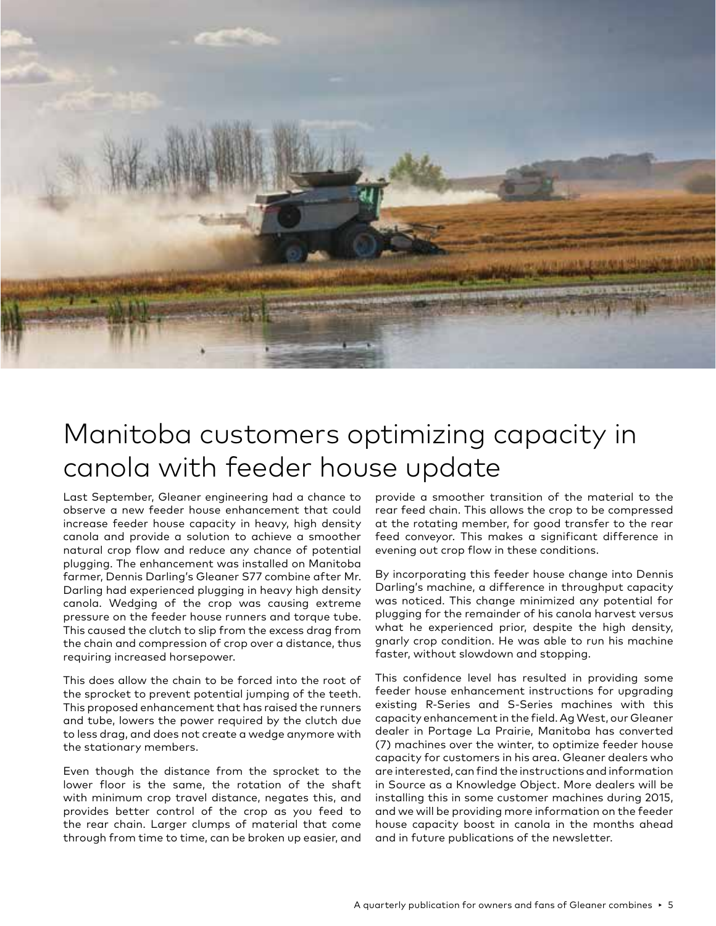

#### Manitoba customers optimizing capacity in canola with feeder house update

Last September, Gleaner engineering had a chance to observe a new feeder house enhancement that could increase feeder house capacity in heavy, high density canola and provide a solution to achieve a smoother natural crop flow and reduce any chance of potential plugging. The enhancement was installed on Manitoba farmer, Dennis Darling's Gleaner S77 combine after Mr. Darling had experienced plugging in heavy high density canola. Wedging of the crop was causing extreme pressure on the feeder house runners and torque tube. This caused the clutch to slip from the excess drag from the chain and compression of crop over a distance, thus requiring increased horsepower.

This does allow the chain to be forced into the root of the sprocket to prevent potential jumping of the teeth. This proposed enhancement that has raised the runners and tube, lowers the power required by the clutch due to less drag, and does not create a wedge anymore with the stationary members.

Even though the distance from the sprocket to the lower floor is the same, the rotation of the shaft with minimum crop travel distance, negates this, and provides better control of the crop as you feed to the rear chain. Larger clumps of material that come through from time to time, can be broken up easier, and

provide a smoother transition of the material to the rear feed chain. This allows the crop to be compressed at the rotating member, for good transfer to the rear feed conveyor. This makes a significant difference in evening out crop flow in these conditions.

By incorporating this feeder house change into Dennis Darling's machine, a difference in throughput capacity was noticed. This change minimized any potential for plugging for the remainder of his canola harvest versus what he experienced prior, despite the high density, gnarly crop condition. He was able to run his machine faster, without slowdown and stopping.

This confidence level has resulted in providing some feeder house enhancement instructions for upgrading existing R-Series and S-Series machines with this capacity enhancement in the field. Ag West, our Gleaner dealer in Portage La Prairie, Manitoba has converted (7) machines over the winter, to optimize feeder house capacity for customers in his area. Gleaner dealers who are interested, can find the instructions and information in Source as a Knowledge Object. More dealers will be installing this in some customer machines during 2015, and we will be providing more information on the feeder house capacity boost in canola in the months ahead and in future publications of the newsletter.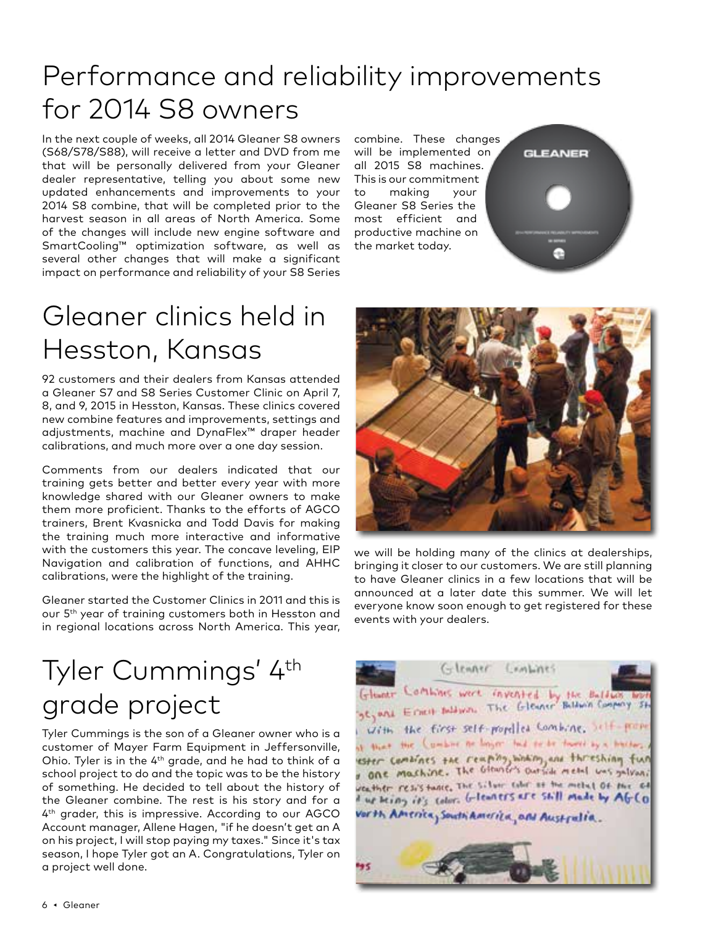## Performance and reliability improvements for 2014 S8 owners

In the next couple of weeks, all 2014 Gleaner S8 owners (S68/S78/S88), will receive a letter and DVD from me that will be personally delivered from your Gleaner dealer representative, telling you about some new updated enhancements and improvements to your 2014 S8 combine, that will be completed prior to the harvest season in all areas of North America. Some of the changes will include new engine software and SmartCooling™ optimization software, as well as several other changes that will make a significant impact on performance and reliability of your S8 Series

combine. These changes will be implemented on all 2015 S8 machines. This is our commitment to making your Gleaner S8 Series the most efficient and productive machine on the market today.



### Gleaner clinics held in Hesston, Kansas

92 customers and their dealers from Kansas attended a Gleaner S7 and S8 Series Customer Clinic on April 7, 8, and 9, 2015 in Hesston, Kansas. These clinics covered new combine features and improvements, settings and adjustments, machine and DynaFlex™ draper header calibrations, and much more over a one day session.

Comments from our dealers indicated that our training gets better and better every year with more knowledge shared with our Gleaner owners to make them more proficient. Thanks to the efforts of AGCO trainers, Brent Kvasnicka and Todd Davis for making the training much more interactive and informative with the customers this year. The concave leveling, EIP Navigation and calibration of functions, and AHHC calibrations, were the highlight of the training.

Gleaner started the Customer Clinics in 2011 and this is our 5th year of training customers both in Hesston and in regional locations across North America. This year,



we will be holding many of the clinics at dealerships, bringing it closer to our customers. We are still planning to have Gleaner clinics in a few locations that will be announced at a later date this summer. We will let everyone know soon enough to get registered for these events with your dealers.

## Tyler Cummings' 4th grade project

Tyler Cummings is the son of a Gleaner owner who is a customer of Mayer Farm Equipment in Jeffersonville, Ohio. Tyler is in the 4th grade, and he had to think of a school project to do and the topic was to be the history of something. He decided to tell about the history of the Gleaner combine. The rest is his story and for a 4th grader, this is impressive. According to our AGCO Account manager, Allene Hagen, "if he doesn't get an A on his project, I will stop paying my taxes." Since it's tax season, I hope Tyler got an A. Congratulations, Tyler on a project well done.

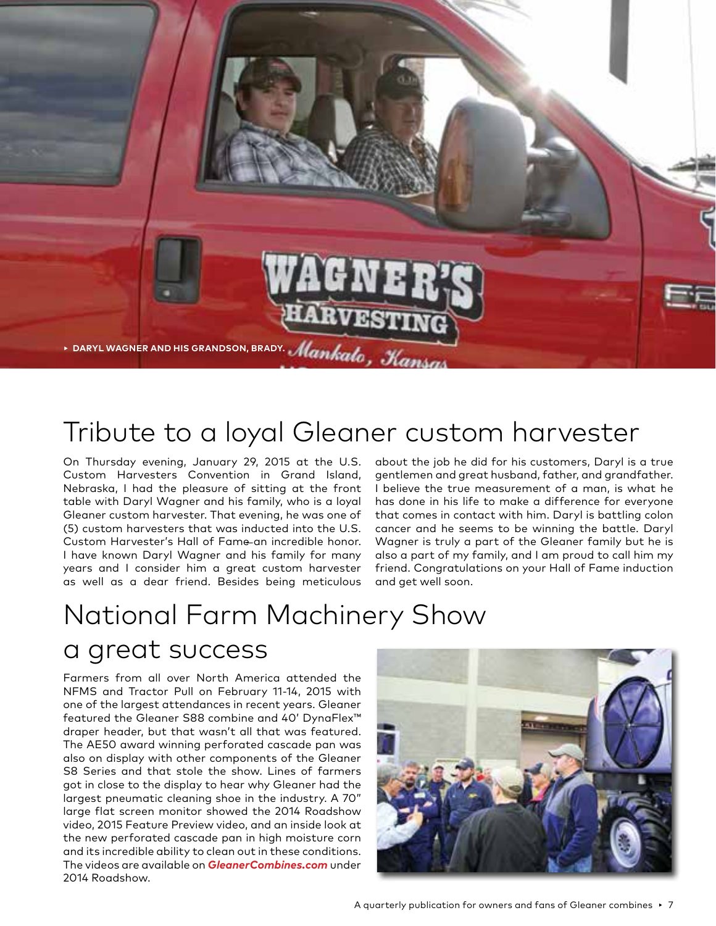

#### Tribute to a loyal Gleaner custom harvester

On Thursday evening, January 29, 2015 at the U.S. Custom Harvesters Convention in Grand Island, Nebraska, I had the pleasure of sitting at the front table with Daryl Wagner and his family, who is a loyal Gleaner custom harvester. That evening, he was one of (5) custom harvesters that was inducted into the U.S. Custom Harvester's Hall of Fame an incredible honor. I have known Daryl Wagner and his family for many years and I consider him a great custom harvester as well as a dear friend. Besides being meticulous

about the job he did for his customers, Daryl is a true gentlemen and great husband, father, and grandfather. I believe the true measurement of a man, is what he has done in his life to make a difference for everyone that comes in contact with him. Daryl is battling colon cancer and he seems to be winning the battle. Daryl Wagner is truly a part of the Gleaner family but he is also a part of my family, and I am proud to call him my friend. Congratulations on your Hall of Fame induction and get well soon.

## National Farm Machinery Show

#### a great success

Farmers from all over North America attended the NFMS and Tractor Pull on February 11-14, 2015 with one of the largest attendances in recent years. Gleaner featured the Gleaner S88 combine and 40' DynaFlex™ draper header, but that wasn't all that was featured. The AE50 award winning perforated cascade pan was also on display with other components of the Gleaner S8 Series and that stole the show. Lines of farmers got in close to the display to hear why Gleaner had the largest pneumatic cleaning shoe in the industry. A 70" large flat screen monitor showed the 2014 Roadshow video, 2015 Feature Preview video, and an inside look at the new perforated cascade pan in high moisture corn and its incredible ability to clean out in these conditions. The videos are available on *GleanerCombines.com* under 2014 Roadshow.